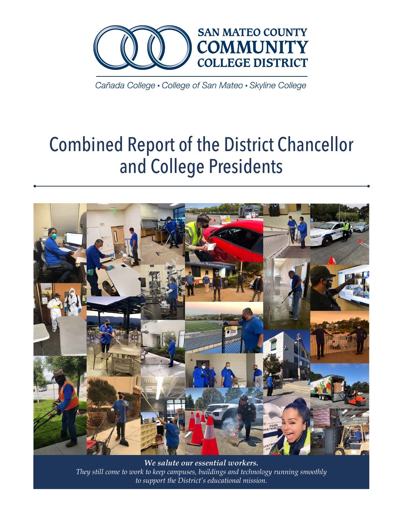

Cañada College • College of San Mateo • Skyline College

# Combined Report of the District Chancellor and College Presidents



*We salute our essential workers. They still come to work to keep campuses, buildings and technology running smoothly to support the District's educational mission.*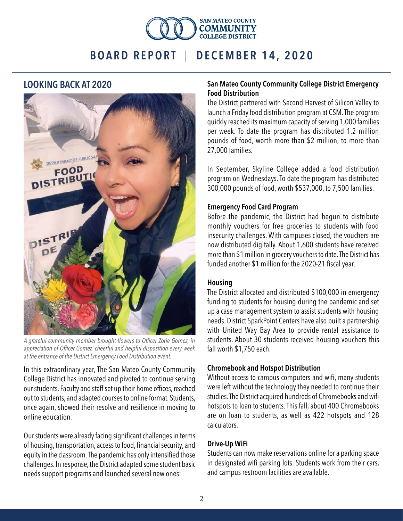

### LOOKING BACK AT 2020



*A grateful community member brought flowers to Officer Zorie Gomez, in appreciation of Officer Gomez' cheerful and helpful disposition every week at the entrance of the District Emergency Food Distribution event.*

In this extraordinary year, The San Mateo County Community College District has innovated and pivoted to continue serving our students. Faculty and staff set up their home offices, reached out to students, and adapted courses to online format. Students, once again, showed their resolve and resilience in moving to online education.

Our students were already facing significant challenges in terms of housing, transportation, access to food, financial security, and equity in the classroom. The pandemic has only intensified those challenges. In response, the District adapted some student basic needs support programs and launched several new ones:

#### San Mateo County Community College District Emergency Food Distribution

The District partnered with Second Harvest of Silicon Valley to launch a Friday food distribution program at CSM. The program quickly reached its maximum capacity of serving 1,000 families per week. To date the program has distributed 1.2 million pounds of food, worth more than \$2 million, to more than 27,000 families.

In September, Skyline College added a food distribution program on Wednesdays. To date the program has distributed 300,000 pounds of food, worth \$537,000, to 7,500 families.

#### Emergency Food Card Program

Before the pandemic, the District had begun to distribute monthly vouchers for free groceries to students with food insecurity challenges. With campuses closed, the vouchers are now distributed digitally. About 1,600 students have received more than \$1 million in grocery vouchers to date. The District has funded another \$1 million for the 2020-21 fiscal year.

#### Housing

The District allocated and distributed \$100,000 in emergency funding to students for housing during the pandemic and set up a case management system to assist students with housing needs. District SparkPoint Centers have also built a partnership with United Way Bay Area to provide rental assistance to students. About 30 students received housing vouchers this fall worth \$1,750 each.

#### Chromebook and Hotspot Distribution

Without access to campus computers and wifi, many students were left without the technology they needed to continue their studies. The District acquired hundreds of Chromebooks and wifi hotspots to loan to students. This fall, about 400 Chromebooks are on loan to students, as well as 422 hotspots and 128 calculators.

#### Drive-Up WiFi

Students can now make reservations online for a parking space in designated wifi parking lots. Students work from their cars, and campus restroom facilities are available.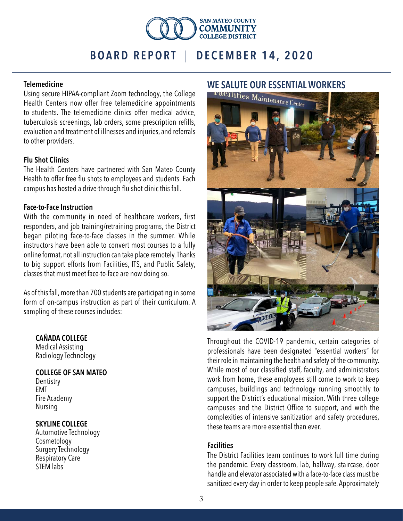

#### Telemedicine

Using secure HIPAA-compliant Zoom technology, the College Health Centers now offer free telemedicine appointments to students. The telemedicine clinics offer medical advice, tuberculosis screenings, lab orders, some prescription refills, evaluation and treatment of illnesses and injuries, and referrals to other providers.

#### Flu Shot Clinics

The Health Centers have partnered with San Mateo County Health to offer free flu shots to employees and students. Each campus has hosted a drive-through flu shot clinic this fall.

#### Face-to-Face Instruction

With the community in need of healthcare workers, first responders, and job training/retraining programs, the District began piloting face-to-face classes in the summer. While instructors have been able to convert most courses to a fully online format, not all instruction can take place remotely. Thanks to big support efforts from Facilities, ITS, and Public Safety, classes that must meet face-to-face are now doing so.

As of this fall, more than 700 students are participating in some form of on-campus instruction as part of their curriculum. A sampling of these courses includes:

#### CAÑADA COLLEGE

Medical Assisting Radiology Technology

#### COLLEGE OF SAN MATEO **Dentistry** EMT

Fire Academy Nursing

#### SKYLINE COLLEGE

Automotive Technology Cosmetology Surgery Technology Respiratory Care STEM labs



Throughout the COVID-19 pandemic, certain categories of professionals have been designated "essential workers" for their role in maintaining the health and safety of the community. While most of our classified staff, faculty, and administrators work from home, these employees still come to work to keep campuses, buildings and technology running smoothly to support the District's educational mission. With three college campuses and the District Office to support, and with the complexities of intensive sanitization and safety procedures, these teams are more essential than ever.

#### Facilities

The District Facilities team continues to work full time during the pandemic. Every classroom, lab, hallway, staircase, door handle and elevator associated with a face-to-face class must be sanitized every day in order to keep people safe. Approximately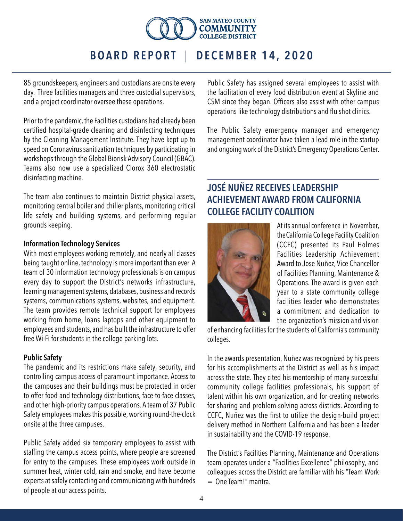

85 groundskeepers, engineers and custodians are onsite every day. Three facilities managers and three custodial supervisors, and a project coordinator oversee these operations.

Prior to the pandemic, the Facilities custodians had already been certified hospital-grade cleaning and disinfecting techniques by the Cleaning Management Institute. They have kept up to speed on Coronavirus sanitization techniques by participating in workshops through the Global Biorisk Advisory Council (GBAC). Teams also now use a specialized Clorox 360 electrostatic disinfecting machine.

The team also continues to maintain District physical assets, monitoring central boiler and chiller plants, monitoring critical life safety and building systems, and performing regular grounds keeping.

#### Information Technology Services

With most employees working remotely, and nearly all classes being taught online, technology is more important than ever. A team of 30 information technology professionals is on campus every day to support the District's networks infrastructure, learning management systems, databases, business and records systems, communications systems, websites, and equipment. The team provides remote technical support for employees working from home, loans laptops and other equipment to employees and students, and has built the infrastructure to offer free Wi-Fi for students in the college parking lots.

#### Public Safety

The pandemic and its restrictions make safety, security, and controlling campus access of paramount importance. Access to the campuses and their buildings must be protected in order to offer food and technology distributions, face-to-face classes, and other high-priority campus operations. A team of 37 Public Safety employees makes this possible, working round-the-clock onsite at the three campuses.

Public Safety added six temporary employees to assist with staffing the campus access points, where people are screened for entry to the campuses. These employees work outside in summer heat, winter cold, rain and smoke, and have become experts at safely contacting and communicating with hundreds of people at our access points.

Public Safety has assigned several employees to assist with the facilitation of every food distribution event at Skyline and CSM since they began. Officers also assist with other campus operations like technology distributions and flu shot clinics.

The Public Safety emergency manager and emergency management coordinator have taken a lead role in the startup and ongoing work of the District's Emergency Operations Center.

## JOSÉ NUÑEZ RECEIVES LEADERSHIP ACHIEVEMENT AWARD FROM CALIFORNIA COLLEGE FACILITY COALITION



At its annual conference in November, the California College Facility Coalition (CCFC) presented its Paul Holmes Facilities Leadership Achievement Award to Jose Nuñez, Vice Chancellor of Facilities Planning, Maintenance & Operations. The award is given each year to a state community college facilities leader who demonstrates a commitment and dedication to the organization's mission and vision

of enhancing facilities for the students of California's community colleges.

In the awards presentation, Nuñez was recognized by his peers for his accomplishments at the District as well as his impact across the state. They cited his mentorship of many successful community college facilities professionals, his support of talent within his own organization, and for creating networks for sharing and problem-solving across districts. According to CCFC, Nuñez was the first to utilize the design-build project delivery method in Northern California and has been a leader in sustainability and the COVID-19 response.

The District's Facilities Planning, Maintenance and Operations team operates under a "Facilities Excellence" philosophy, and colleagues across the District are familiar with his "Team Work  $=$  One Team<sup> $"$ </sup> mantra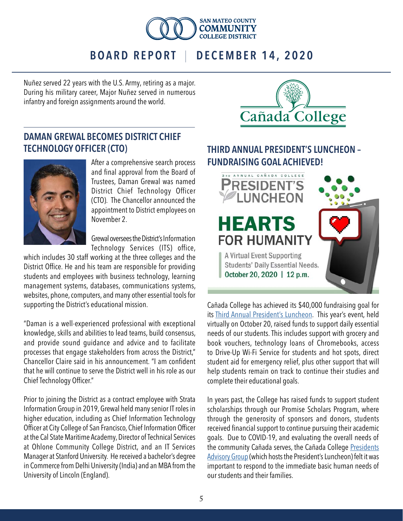

Nuñez served 22 years with the U.S. Army, retiring as a major. During his military career, Major Nuñez served in numerous infantry and foreign assignments around the world.

## DAMAN GREWAL BECOMES DISTRICT CHIEF TECHNOLOGY OFFICER (CTO)



After a comprehensive search process and final approval from the Board of Trustees, Daman Grewal was named District Chief Technology Officer (CTO). The Chancellor announced the appointment to District employees on November 2.

Grewal oversees the District's Information Technology Services (ITS) office,

which includes 30 staff working at the three colleges and the District Office. He and his team are responsible for providing students and employees with business technology, learning management systems, databases, communications systems, websites, phone, computers, and many other essential tools for supporting the District's educational mission.

"Daman is a well-experienced professional with exceptional knowledge, skills and abilities to lead teams, build consensus, and provide sound guidance and advice and to facilitate processes that engage stakeholders from across the District," Chancellor Claire said in his announcement. "I am confident that he will continue to serve the District well in his role as our Chief Technology Officer."

Prior to joining the District as a contract employee with Strata Information Group in 2019, Grewal held many senior IT roles in higher education, including as Chief Information Technology Officer at City College of San Francisco, Chief Information Officer at the Cal State Maritime Academy, Director of Technical Services at Ohlone Community College District, and an IT Services Manager at Stanford University. He received a bachelor's degree in Commerce from Delhi University (India) and an MBA from the University of Lincoln (England).



## THIRD ANNUAL PRESIDENT'S LUNCHEON – FUNDRAISING GOAL ACHIEVED!



Cañada College has achieved its \$40,000 fundraising goal for its [Third Annual President's Luncheon](https://canadacollege.edu/luncheon/). This year's event, held virtually on October 20, raised funds to support daily essential needs of our students. This includes support with grocery and book vouchers, technology loans of Chromebooks, access to Drive-Up Wi-Fi Service for students and hot spots, direct student aid for emergency relief, plus other support that will help students remain on track to continue their studies and complete their educational goals.

In years past, the College has raised funds to support student scholarships through our Promise Scholars Program, where through the generosity of sponsors and donors, students received financial support to continue pursuing their academic goals. Due to COVID-19, and evaluating the overall needs of the community Cañada serves, the Cañada College [Presidents](https://canadacollege.edu/presidentsadvisorygroup/) [Advisory Group](https://canadacollege.edu/presidentsadvisorygroup/) (which hosts the President's Luncheon) felt it was important to respond to the immediate basic human needs of our students and their families.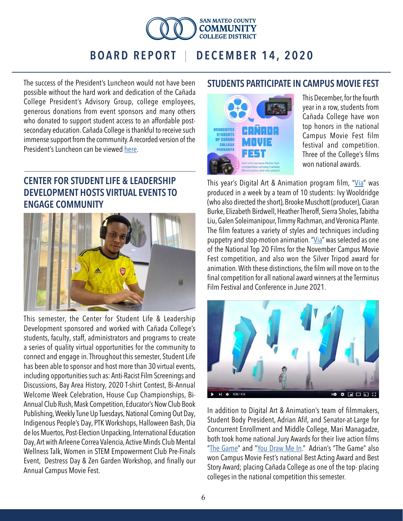

The success of the President's Luncheon would not have been possible without the hard work and dedication of the Cañada College President's Advisory Group, college employees, generous donations from event sponsors and many others who donated to support student access to an affordable postsecondary education. Cañada College is thankful to receive such immense support from the community. A recorded version of the President's Luncheon can be viewed [here.](https://www.youtube.com/watch?v=_mJrX7ZLlw0&feature=youtu.be)

## CENTER FOR STUDENT LIFE & LEADERSHIP DEVELOPMENT HOSTS VIRTUAL EVENTS TO ENGAGE COMMUNITY



This semester, the Center for Student Life & Leadership Development sponsored and worked with Cañada College's students, faculty, staff, administrators and programs to create a series of quality virtual opportunities for the community to connect and engage in. Throughout this semester, Student Life has been able to sponsor and host more than 30 virtual events, including opportunities such as: Anti-Racist Film Screenings and Discussions, Bay Area History, 2020 T-shirt Contest, Bi-Annual Welcome Week Celebration, House Cup Championships, Bi-Annual Club Rush, Mask Competition, Educator's Now Club Book Publishing, Weekly Tune Up Tuesdays, National Coming Out Day, Indigenous People's Day, PTK Workshops, Halloween Bash, Dia de los Muertos, Post-Election Unpacking, International Education Day, Art with Arleene Correa Valencia, Active Minds Club Mental Wellness Talk, Women in STEM Empowerment Club Pre-Finals Event, Destress Day & Zen Garden Workshop, and finally our Annual Campus Movie Fest.

## STUDENTS PARTICIPATE IN CAMPUS MOVIE FEST



This December, for the fourth year in a row, students from Cañada College have won top honors in the national Campus Movie Fest film festival and competition. Three of the College's films won national awards.

This year's Digital Art & Animation program film, "[Via](https://www.youtube.com/watch?v=p7WByQI7_MI&feature=emb_logo)" was produced in a week by a team of 10 students: Ivy Wooldridge (who also directed the short), Brooke Muschott (producer), Ciaran Burke, Elizabeth Birdwell, Heather Theroff, Sierra Sholes, Tabitha Liu, Galen Soleimanipour, Timmy Rachman, and Veronica Plante. The film features a variety of styles and techniques including puppetry and stop-motion animation. "[Via](https://www.youtube.com/watch?v=p7WByQI7_MI&feature=emb_logo)" was selected as one of the National Top 20 Films for the November Campus Movie Fest competition, and also won the Silver Tripod award for animation. With these distinctions, the film will move on to the final competition for all national award winners at the Terminus Film Festival and Conference in June 2021.



In addition to Digital Art & Animation's team of filmmakers, Student Body President, Adrian Afif, and Senator-at-Large for Concurrent Enrollment and Middle College, Mari Managadze, both took home national Jury Awards for their live action films "[The Game"](https://campusmoviefest.com/movies/90439-the-game) and "[You Draw Me In.](https://campusmoviefest.com/movies/90741-you-draw-me-in)" Adrian's "The Game" also won Campus Movie Fest's national Best Acting Award and Best Story Award; placing Cañada College as one of the top- placing colleges in the national competition this semester.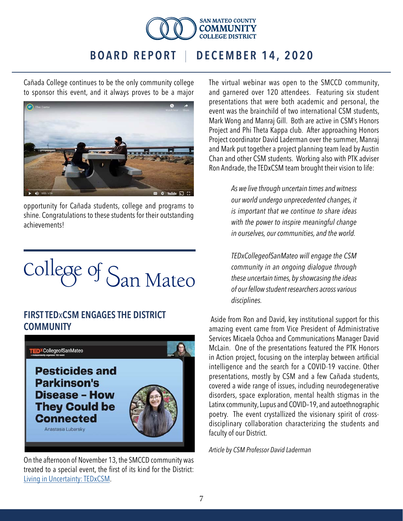

Cañada College continues to be the only community college to sponsor this event, and it always proves to be a major



opportunity for Cañada students, college and programs to shine. Congratulations to these students for their outstanding achievements!



## FIRST TEDxCSM ENGAGES THE DISTRICT **COMMUNITY**



On the afternoon of November 13, the SMCCD community was treated to a special event, the first of its kind for the District: [Living in Uncertainty: TEDxCSM](https://smccd.zoom.us/rec/play/viy7d2OhQQcPOlcl8k30W584q1vF4oN4QWvhof5CeCNql9s5_nfvVCjyGjrCfpCCf8JRQsh5Tbo3Td0V.jdLFlo-qYLSE07Kq?continueMode=true&_x_zm_rtaid=7dvzrKCmTiiflTUFc_j8YQ.1607117122024.fbb274ab476404e4928bf49b8d83f533&_x_zm_rhtaid=255).

The virtual webinar was open to the SMCCD community, and garnered over 120 attendees. Featuring six student presentations that were both academic and personal, the event was the brainchild of two international CSM students, Mark Wong and Manraj Gill. Both are active in CSM's Honors Project and Phi Theta Kappa club. After approaching Honors Project coordinator David Laderman over the summer, Manraj and Mark put together a project planning team lead by Austin Chan and other CSM students. Working also with PTK adviser Ron Andrade, the TEDxCSM team brought their vision to life:

> *As we live through uncertain times and witness our world undergo unprecedented changes, it is important that we continue to share ideas with the power to inspire meaningful change in ourselves, our communities, and the world.*

*TEDxCollegeofSanMateo will engage the CSM community in an ongoing dialogue through these uncertain times, by showcasing the ideas of our fellow student researchers across various disciplines.*

 Aside from Ron and David, key institutional support for this amazing event came from Vice President of Administrative Services Micaela Ochoa and Communications Manager David McLain. One of the presentations featured the PTK Honors in Action project, focusing on the interplay between artificial intelligence and the search for a COVID-19 vaccine. Other presentations, mostly by CSM and a few Cañada students, covered a wide range of issues, including neurodegenerative disorders, space exploration, mental health stigmas in the Latinx community, Lupus and COVID–19, and autoethnographic poetry. The event crystallized the visionary spirit of crossdisciplinary collaboration characterizing the students and faculty of our District.

*Article by CSM Professor David Laderman*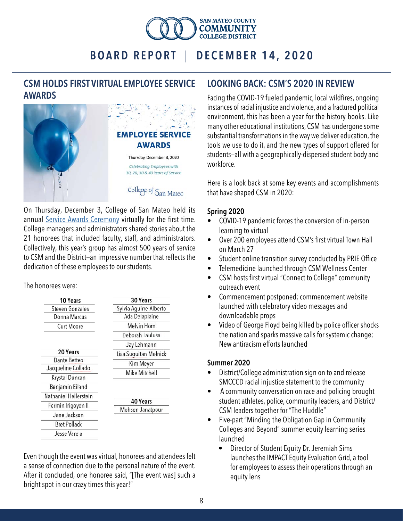

## CSM HOLDS FIRST VIRTUAL EMPLOYEE SERVICE AWARDS



On Thursday, December 3, College of San Mateo held its annual [Service Awards Ceremony](https://smccd.zoom.us/rec/play/zQQSj58Y1v7R9Ztuj4QsIqtSCpzcpRh6hwa_OuyUI-nZ2Tsn8toAO8F7flSTqLC-oZ0EkrG0SgBNJrmU.IYO2mbmftgyi2IL6?continueMode=true&_x_zm_rtaid=7dvzrKCmTiiflTUFc_j8YQ.1607117122024.fbb274ab476404e4928bf49b8d83f533&_x_zm_rhtaid=255) virtually for the first time. College managers and administrators shared stories about the 21 honorees that included faculty, staff, and administrators. Collectively, this year's group has almost 500 years of service to CSM and the District—an impressive number that reflects the dedication of these employees to our students.

The honorees were:



Even though the event was virtual, honorees and attendees felt a sense of connection due to the personal nature of the event. After it concluded, one honoree said, "[The event was] such a bright spot in our crazy times this year!"

## LOOKING BACK: CSM'S 2020 IN REVIEW

Facing the COVID-19 fueled pandemic, local wildfires, ongoing instances of racial injustice and violence, and a fractured political environment, this has been a year for the history books. Like many other educational institutions, CSM has undergone some substantial transformations in the way we deliver education, the tools we use to do it, and the new types of support offered for students—all with a geographically-dispersed student body and workforce.

Here is a look back at some key events and accomplishments that have shaped CSM in 2020:

#### Spring 2020

- COVID-19 pandemic forces the conversion of in-person learning to virtual
- Over 200 employees attend CSM's first virtual Town Hall on March 27
- Student online transition survey conducted by PRIE Office
- Telemedicine launched through CSM Wellness Center
- CSM hosts first virtual "Connect to College" community outreach event
- Commencement postponed; commencement website launched with celebratory video messages and downloadable props
- Video of George Floyd being killed by police officer shocks the nation and sparks massive calls for systemic change; New antiracism efforts launched

#### Summer 2020

- District/College administration sign on to and release SMCCCD racial injustice statement to the community
- A community conversation on race and policing brought student athletes, police, community leaders, and District/ CSM leaders together for "The Huddle"
- Five-part "Minding the Obligation Gap in Community Colleges and Beyond" summer equity learning series launched
	- Director of Student Equity Dr. Jeremiah Sims launches the IMPACT Equity Evaluation Grid, a tool for employees to assess their operations through an equity lens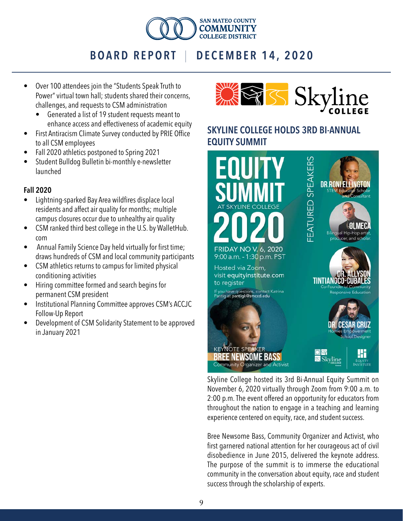

#### • Over 100 attendees join the "Students Speak Truth to Power" virtual town hall; students shared their concerns, challenges, and requests to CSM administration

- Generated a list of 19 student requests meant to enhance access and effectiveness of academic equity
- First Antiracism Climate Survey conducted by PRIE Office to all CSM employees
- Fall 2020 athletics postponed to Spring 2021
- Student Bulldog Bulletin bi-monthly e-newsletter launched

#### Fall 2020

- Lightning-sparked Bay Area wildfires displace local residents and affect air quality for months; multiple campus closures occur due to unhealthy air quality
- CSM ranked third best college in the U.S. by WalletHub. com
- Annual Family Science Day held virtually for first time; draws hundreds of CSM and local community participants
- CSM athletics returns to campus for limited physical conditioning activities
- Hiring committee formed and search begins for permanent CSM president
- Institutional Planning Committee approves CSM's ACCJC Follow-Up Report
- Development of CSM Solidarity Statement to be approved in January 2021



## SKYLINE COLLEGE HOLDS 3RD BI-ANNUAL EQUITY SUMMIT



Skyline College hosted its 3rd Bi-Annual Equity Summit on November 6, 2020 virtually through Zoom from 9:00 a.m. to 2:00 p.m. The event offered an opportunity for educators from throughout the nation to engage in a teaching and learning experience centered on equity, race, and student success.

Bree Newsome Bass, Community Organizer and Activist, who first garnered national attention for her courageous act of civil disobedience in June 2015, delivered the keynote address. The purpose of the summit is to immerse the educational community in the conversation about equity, race and student success through the scholarship of experts.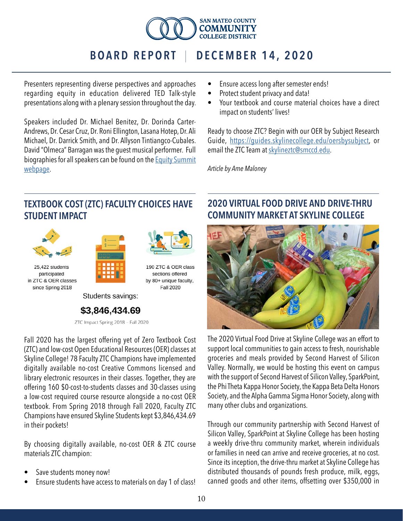

Presenters representing diverse perspectives and approaches regarding equity in education delivered TED Talk-style presentations along with a plenary session throughout the day.

Speakers included Dr. Michael Benitez, Dr. Dorinda Carter-Andrews, Dr. Cesar Cruz, Dr. Roni Ellington, Lasana Hotep, Dr. Ali Michael, Dr. Darrick Smith, and Dr. Allyson Tintiangco-Cubales. David "Olmeca" Barragan was the guest musical performer. Full biographies for all speakers can be found on the [Equity Summit](https://equityinstitute.com/)  [webpage](https://equityinstitute.com/).

## TEXTBOOK COST (ZTC) FACULTY CHOICES HAVE STUDENT IMPACT







25,422 students participated in ZTC & OER classes since Spring 2018

190 ZTC & OER class sections offered by 80+ unique faculty, **Fall 2020** 

Students savings:

## \$3,846,434.69

ZTC Impact Spring 2018 - Fall 2020

Fall 2020 has the largest offering yet of Zero Textbook Cost (ZTC) and low-cost Open Educational Resources (OER) classes at Skyline College! 78 Faculty ZTC Champions have implemented digitally available no-cost Creative Commons licensed and library electronic resources in their classes. Together, they are offering 160 \$0-cost-to-students classes and 30-classes using a low-cost required course resource alongside a no-cost OER textbook. From Spring 2018 through Fall 2020, Faculty ZTC Champions have ensured Skyline Students kept \$3,846,434.69 in their pockets!

By choosing digitally available, no-cost OER & ZTC course materials ZTC champion:

- Save students money now!
- Ensure students have access to materials on day 1 of class!
- Ensure access long after semester ends!
- Protect student privacy and data!
- Your textbook and course material choices have a direct impact on students' lives!

Ready to choose ZTC? Begin with our OER by Subject Research Guide, [https://guides.skylinecollege.edu/oersbysubject,](https://guides.skylinecollege.edu/oersbysubject) or email the ZTC Team at [skylineztc@smccd.edu](mailto:skylineztc%40smccd.edu?subject=).

*Article by Ame Maloney*

## 2020 VIRTUAL FOOD DRIVE AND DRIVE-THRU COMMUNITY MARKET AT SKYLINE COLLEGE



The 2020 Virtual Food Drive at Skyline College was an effort to support local communities to gain access to fresh, nourishable groceries and meals provided by Second Harvest of Silicon Valley. Normally, we would be hosting this event on campus with the support of Second Harvest of Silicon Valley, SparkPoint, the Phi Theta Kappa Honor Society, the Kappa Beta Delta Honors Society, and the Alpha Gamma Sigma Honor Society, along with many other clubs and organizations.

Through our community partnership with Second Harvest of Silicon Valley, SparkPoint at Skyline College has been hosting a weekly drive-thru community market, wherein individuals or families in need can arrive and receive groceries, at no cost. Since its inception, the drive-thru market at Skyline College has distributed thousands of pounds fresh produce, milk, eggs, canned goods and other items, offsetting over \$350,000 in